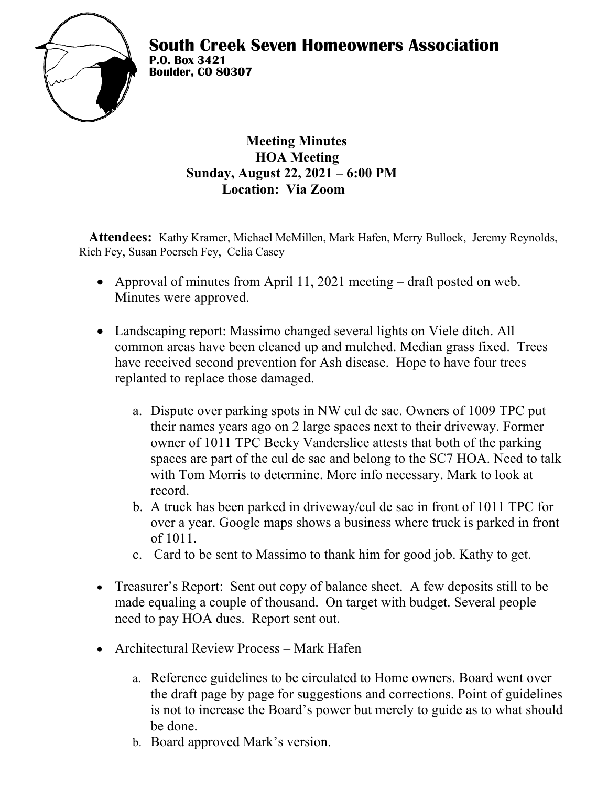

 **Meeting Minutes HOA Meeting Sunday, August 22, 2021 – 6:00 PM Location: Via Zoom**

**Attendees:** Kathy Kramer, Michael McMillen, Mark Hafen, Merry Bullock, Jeremy Reynolds, Rich Fey, Susan Poersch Fey, Celia Casey

- Approval of minutes from April 11, 2021 meeting draft posted on web. Minutes were approved.
- Landscaping report: Massimo changed several lights on Viele ditch. All common areas have been cleaned up and mulched. Median grass fixed. Trees have received second prevention for Ash disease. Hope to have four trees replanted to replace those damaged.
	- a. Dispute over parking spots in NW cul de sac. Owners of 1009 TPC put their names years ago on 2 large spaces next to their driveway. Former owner of 1011 TPC Becky Vanderslice attests that both of the parking spaces are part of the cul de sac and belong to the SC7 HOA. Need to talk with Tom Morris to determine. More info necessary. Mark to look at record.
	- b. A truck has been parked in driveway/cul de sac in front of 1011 TPC for over a year. Google maps shows a business where truck is parked in front of 1011.
	- c. Card to be sent to Massimo to thank him for good job. Kathy to get.
- Treasurer's Report: Sent out copy of balance sheet. A few deposits still to be made equaling a couple of thousand. On target with budget. Several people need to pay HOA dues. Report sent out.
- Architectural Review Process Mark Hafen
	- a. Reference guidelines to be circulated to Home owners. Board went over the draft page by page for suggestions and corrections. Point of guidelines is not to increase the Board's power but merely to guide as to what should be done.
	- b. Board approved Mark's version.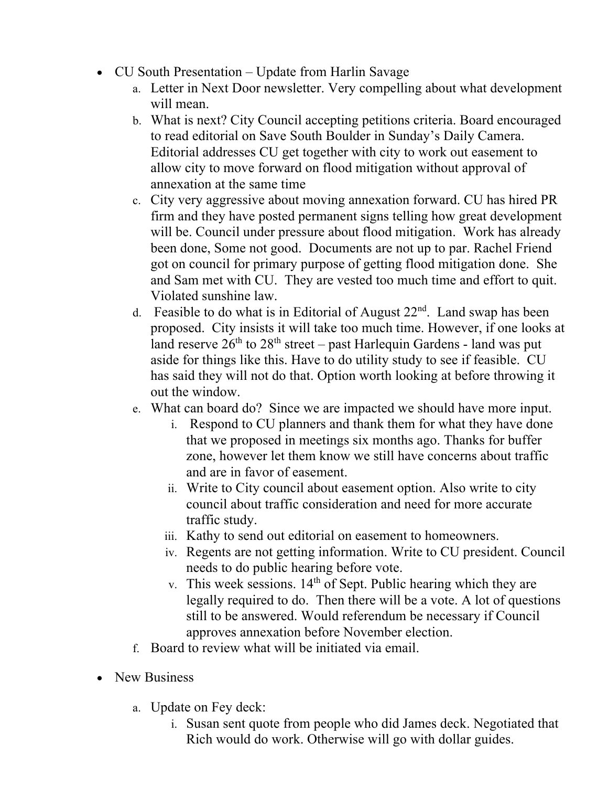- CU South Presentation Update from Harlin Savage
	- a. Letter in Next Door newsletter. Very compelling about what development will mean.
	- b. What is next? City Council accepting petitions criteria. Board encouraged to read editorial on Save South Boulder in Sunday's Daily Camera. Editorial addresses CU get together with city to work out easement to allow city to move forward on flood mitigation without approval of annexation at the same time
	- c. City very aggressive about moving annexation forward. CU has hired PR firm and they have posted permanent signs telling how great development will be. Council under pressure about flood mitigation. Work has already been done, Some not good. Documents are not up to par. Rachel Friend got on council for primary purpose of getting flood mitigation done. She and Sam met with CU. They are vested too much time and effort to quit. Violated sunshine law.
	- d. Feasible to do what is in Editorial of August  $22<sup>nd</sup>$ . Land swap has been proposed. City insists it will take too much time. However, if one looks at land reserve  $26<sup>th</sup>$  to  $28<sup>th</sup>$  street – past Harlequin Gardens - land was put aside for things like this. Have to do utility study to see if feasible. CU has said they will not do that. Option worth looking at before throwing it out the window.
	- e. What can board do? Since we are impacted we should have more input.
		- i. Respond to CU planners and thank them for what they have done that we proposed in meetings six months ago. Thanks for buffer zone, however let them know we still have concerns about traffic and are in favor of easement.
		- ii. Write to City council about easement option. Also write to city council about traffic consideration and need for more accurate traffic study.
		- iii. Kathy to send out editorial on easement to homeowners.
		- iv. Regents are not getting information. Write to CU president. Council needs to do public hearing before vote.
		- v. This week sessions.  $14<sup>th</sup>$  of Sept. Public hearing which they are legally required to do. Then there will be a vote. A lot of questions still to be answered. Would referendum be necessary if Council approves annexation before November election.
	- f. Board to review what will be initiated via email.
- New Business
	- a. Update on Fey deck:
		- i. Susan sent quote from people who did James deck. Negotiated that Rich would do work. Otherwise will go with dollar guides.